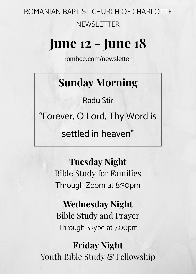ROMANIAN BAPTIST CHURCH OF CHARLOTTE NEWSLETTER

# **June 12 - June 18**

[rombcc.com/newsletter](https://ro.rombcc.com/newsletter)

## **Sunday Morning**

Radu Stir

"Forever, O Lord, Thy Word is

settled in heaven"

**Tuesday Night** Bible Study for Families Through Zoom at 8:30pm

**Wednesday Night** Bible Study and Prayer Through Skype at 7:00pm

**Friday Night**  Youth Bible Study & Fellowship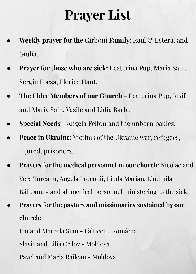# **Prayer List**

- **Weekly prayer for the Girboni Family: Raul & Estera, and** Giulia.
- **Prayer for those who are sick:** Ecaterina Pup, Maria Sain, Sergiu Focșa, Florica Hant.
- **The Elder Members of our Church** Ecaterina Pup, Iosif and Maria Sain, Vasile and Lidia Barbu
- **● Special Needs** Angela Felton and the unborn babies.
- **Peace in Ukraine:** Victims of the Ukraine war, refugees, injured, prisoners.
- **Prayers for the medical personnel in our church:** Nicolae and Vera Țurcanu, Angela Procopii, Liuda Marian, Liudmila Bălteanu - and all medical personnel ministering to the sick!
- **● Prayers for the pastors and missionaries sustained by our church:**

Ion and Marcela Stan - Fălticeni, România Slavic and Lilia Crîlov - Moldova Pavel and Maria Răilean - Moldova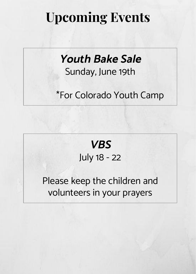## **Upcoming Events**

## **Youth Bake Sale**  Sunday, June 19th

#### \*For Colorado Youth Camp

### **VBS** July 18 - 22

#### Please keep the children and volunteers in your prayers